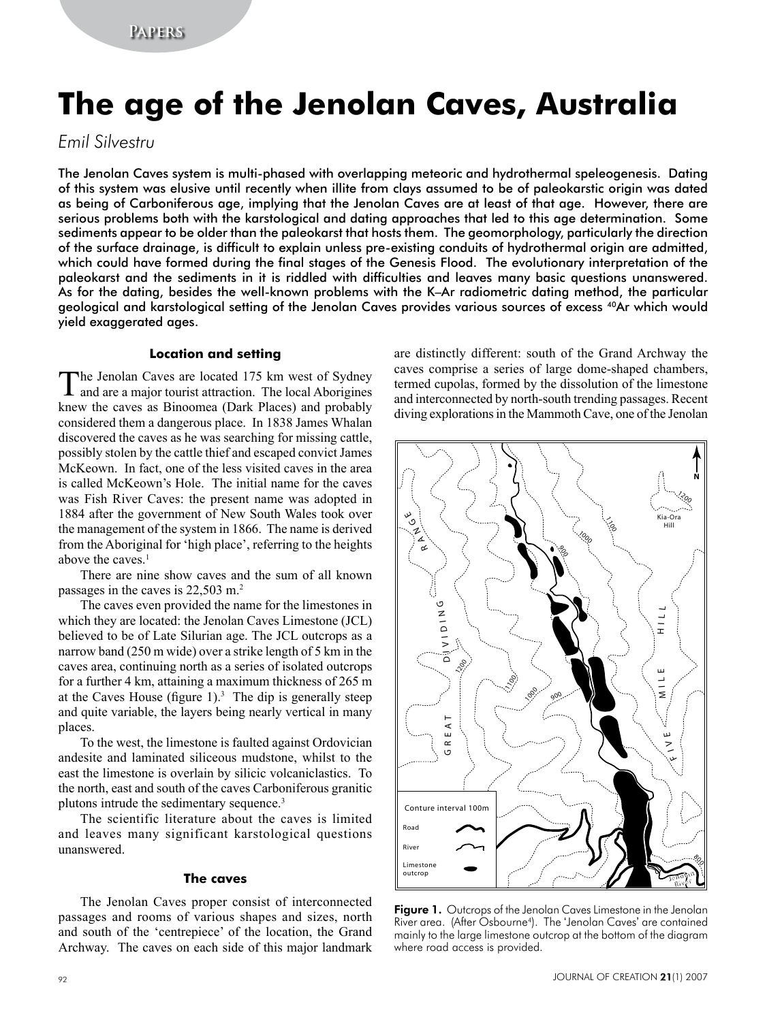# **The age of the Jenolan Caves, Australia**

# *Emil Silvestru*

The Jenolan Caves system is multi-phased with overlapping meteoric and hydrothermal speleogenesis. Dating of this system was elusive until recently when illite from clays assumed to be of paleokarstic origin was dated as being of Carboniferous age, implying that the Jenolan Caves are at least of that age. However, there are serious problems both with the karstological and dating approaches that led to this age determination. Some sediments appear to be older than the paleokarst that hosts them. The geomorphology, particularly the direction of the surface drainage, is difficult to explain unless pre-existing conduits of hydrothermal origin are admitted, which could have formed during the final stages of the Genesis Flood. The evolutionary interpretation of the paleokarst and the sediments in it is riddled with difficulties and leaves many basic questions unanswered. As for the dating, besides the well-known problems with the K–Ar radiometric dating method, the particular geological and karstological setting of the Jenolan Caves provides various sources of excess 40Ar which would yield exaggerated ages.

#### **Location and setting**

The Jenolan Caves are located 175 km west of Sydney and are a major tourist attraction. The local Aborigines knew the caves as Binoomea (Dark Places) and probably considered them a dangerous place. In 1838 James Whalan discovered the caves as he was searching for missing cattle, possibly stolen by the cattle thief and escaped convict James McKeown. In fact, one of the less visited caves in the area is called McKeown's Hole. The initial name for the caves was Fish River Caves: the present name was adopted in 1884 after the government of New South Wales took over the management of the system in 1866. The name is derived from the Aboriginal for 'high place', referring to the heights above the caves.<sup>1</sup>

There are nine show caves and the sum of all known passages in the caves is 22,503 m.2

The caves even provided the name for the limestones in which they are located: the Jenolan Caves Limestone (JCL) believed to be of Late Silurian age. The JCL outcrops as a narrow band (250 m wide) over a strike length of 5 km in the caves area, continuing north as a series of isolated outcrops for a further 4 km, attaining a maximum thickness of 265 m at the Caves House (figure  $1$ ).<sup>3</sup> The dip is generally steep and quite variable, the layers being nearly vertical in many places.

To the west, the limestone is faulted against Ordovician andesite and laminated siliceous mudstone, whilst to the east the limestone is overlain by silicic volcaniclastics. To the north, east and south of the caves Carboniferous granitic plutons intrude the sedimentary sequence.<sup>3</sup>

The scientific literature about the caves is limited and leaves many significant karstological questions unanswered.

#### **The caves**

The Jenolan Caves proper consist of interconnected passages and rooms of various shapes and sizes, north and south of the 'centrepiece' of the location, the Grand Archway. The caves on each side of this major landmark are distinctly different: south of the Grand Archway the caves comprise a series of large dome-shaped chambers, termed cupolas, formed by the dissolution of the limestone and interconnected by north-south trending passages. Recent diving explorations in the Mammoth Cave, one of the Jenolan



Figure 1. Outcrops of the Jenolan Caves Limestone in the Jenolan River area. (After Osbourne4). The 'Jenolan Caves' are contained mainly to the large limestone outcrop at the bottom of the diagram where road access is provided.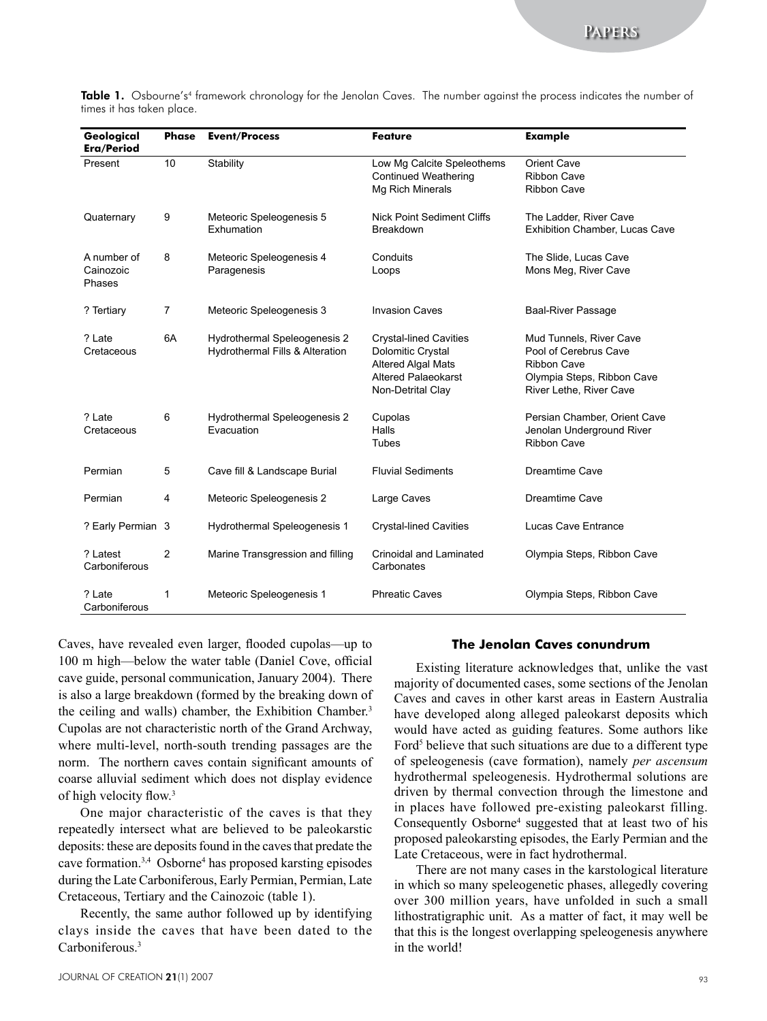| Geological<br>Era/Period           | <b>Phase</b>   | <b>Event/Process</b>                                            | <b>Feature</b>                                                                                                                     | <b>Example</b>                                                                                                                  |
|------------------------------------|----------------|-----------------------------------------------------------------|------------------------------------------------------------------------------------------------------------------------------------|---------------------------------------------------------------------------------------------------------------------------------|
| Present                            | 10             | Stability                                                       | Low Mg Calcite Speleothems<br><b>Continued Weathering</b><br>Mg Rich Minerals                                                      | <b>Orient Cave</b><br><b>Ribbon Cave</b><br><b>Ribbon Cave</b>                                                                  |
| Quaternary                         | 9              | Meteoric Speleogenesis 5<br>Exhumation                          | <b>Nick Point Sediment Cliffs</b><br>Breakdown                                                                                     | The Ladder, River Cave<br>Exhibition Chamber, Lucas Cave                                                                        |
| A number of<br>Cainozoic<br>Phases | 8              | Meteoric Speleogenesis 4<br>Paragenesis                         | Conduits<br>Loops                                                                                                                  | The Slide, Lucas Cave<br>Mons Meg, River Cave                                                                                   |
| ? Tertiary                         | $\overline{7}$ | Meteoric Speleogenesis 3                                        | <b>Invasion Caves</b>                                                                                                              | <b>Baal-River Passage</b>                                                                                                       |
| ? Late<br>Cretaceous               | 6A             | Hydrothermal Speleogenesis 2<br>Hydrothermal Fills & Alteration | <b>Crystal-lined Cavities</b><br>Dolomitic Crystal<br><b>Altered Algal Mats</b><br><b>Altered Palaeokarst</b><br>Non-Detrital Clay | Mud Tunnels, River Cave<br>Pool of Cerebrus Cave<br><b>Ribbon Cave</b><br>Olympia Steps, Ribbon Cave<br>River Lethe, River Cave |
| ? Late<br>Cretaceous               | 6              | Hydrothermal Speleogenesis 2<br>Evacuation                      | Cupolas<br>Halls<br>Tubes                                                                                                          | Persian Chamber, Orient Cave<br>Jenolan Underground River<br><b>Ribbon Cave</b>                                                 |
| Permian                            | 5              | Cave fill & Landscape Burial                                    | <b>Fluvial Sediments</b>                                                                                                           | <b>Dreamtime Cave</b>                                                                                                           |
| Permian                            | 4              | Meteoric Speleogenesis 2                                        | Large Caves                                                                                                                        | Dreamtime Cave                                                                                                                  |
| ? Early Permian 3                  |                | Hydrothermal Speleogenesis 1                                    | <b>Crystal-lined Cavities</b>                                                                                                      | Lucas Cave Entrance                                                                                                             |
| ? Latest<br>Carboniferous          | 2              | Marine Transgression and filling                                | <b>Crinoidal and Laminated</b><br>Carbonates                                                                                       | Olympia Steps, Ribbon Cave                                                                                                      |
| ? Late<br>Carboniferous            | 1              | Meteoric Speleogenesis 1                                        | <b>Phreatic Caves</b>                                                                                                              | Olympia Steps, Ribbon Cave                                                                                                      |

Table 1. Osbourne's<sup>4</sup> framework chronology for the Jenolan Caves. The number against the process indicates the number of times it has taken place.

Caves, have revealed even larger, flooded cupolas—up to 100 m high—below the water table (Daniel Cove, official cave guide, personal communication, January 2004). There is also a large breakdown (formed by the breaking down of the ceiling and walls) chamber, the Exhibition Chamber.<sup>3</sup> Cupolas are not characteristic north of the Grand Archway, where multi-level, north-south trending passages are the norm. The northern caves contain significant amounts of coarse alluvial sediment which does not display evidence of high velocity flow.<sup>3</sup>

One major characteristic of the caves is that they repeatedly intersect what are believed to be paleokarstic deposits: these are deposits found in the caves that predate the cave formation.3,4 Osborne4 has proposed karsting episodes during the Late Carboniferous, Early Permian, Permian, Late Cretaceous, Tertiary and the Cainozoic (table 1).

Recently, the same author followed up by identifying clays inside the caves that have been dated to the Carboniferous<sup>3</sup>

#### **The Jenolan Caves conundrum**

Existing literature acknowledges that, unlike the vast majority of documented cases, some sections of the Jenolan Caves and caves in other karst areas in Eastern Australia have developed along alleged paleokarst deposits which would have acted as guiding features. Some authors like Ford<sup>5</sup> believe that such situations are due to a different type of speleogenesis (cave formation), namely *per ascensum* hydrothermal speleogenesis. Hydrothermal solutions are driven by thermal convection through the limestone and in places have followed pre-existing paleokarst filling. Consequently Osborne<sup>4</sup> suggested that at least two of his proposed paleokarsting episodes, the Early Permian and the Late Cretaceous, were in fact hydrothermal.

There are not many cases in the karstological literature in which so many speleogenetic phases, allegedly covering over 300 million years, have unfolded in such a small lithostratigraphic unit. As a matter of fact, it may well be that this is the longest overlapping speleogenesis anywhere in the world!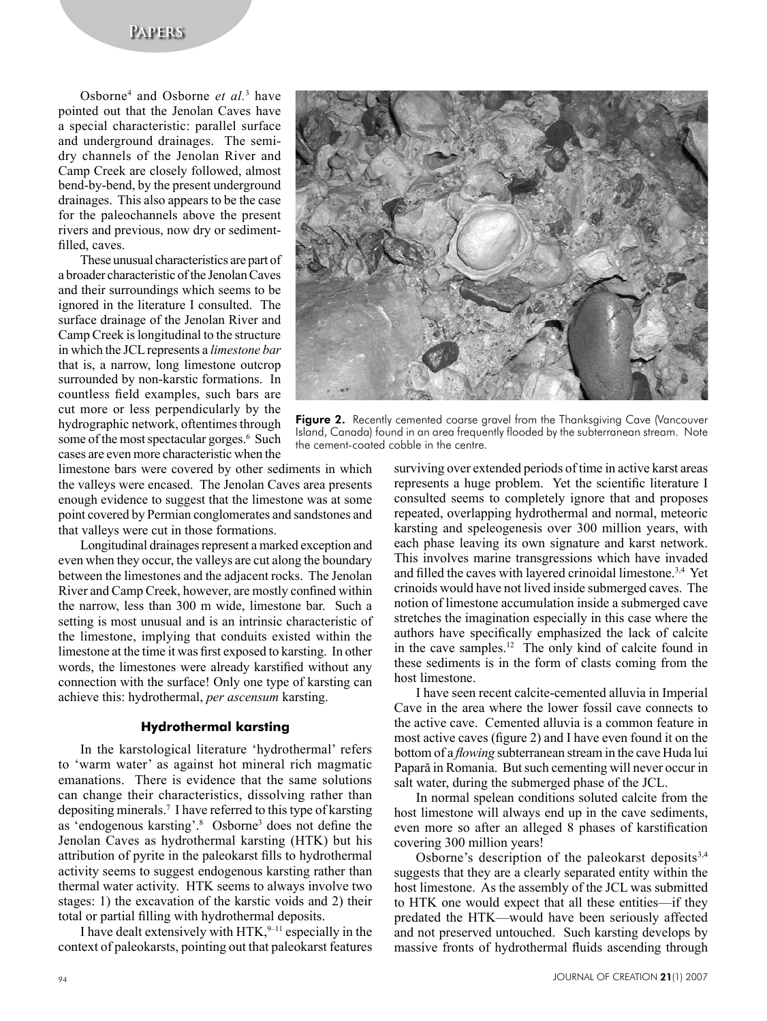# **Papers**

Osborne4 and Osborne *et al.*<sup>3</sup> have pointed out that the Jenolan Caves have a special characteristic: parallel surface and underground drainages. The semidry channels of the Jenolan River and Camp Creek are closely followed, almost bend-by-bend, by the present underground drainages. This also appears to be the case for the paleochannels above the present rivers and previous, now dry or sedimentfilled, caves.

These unusual characteristics are part of a broader characteristic of the Jenolan Caves and their surroundings which seems to be ignored in the literature I consulted. The surface drainage of the Jenolan River and Camp Creek is longitudinal to the structure in which the JCL represents a *limestone bar* that is, a narrow, long limestone outcrop surrounded by non-karstic formations. In countless field examples, such bars are cut more or less perpendicularly by the hydrographic network, oftentimes through some of the most spectacular gorges.<sup>6</sup> Such cases are even more characteristic when the



Figure 2. Recently cemented coarse gravel from the Thanksgiving Cave (Vancouver Island, Canada) found in an area frequently flooded by the subterranean stream. Note the cement-coated cobble in the centre.

limestone bars were covered by other sediments in which the valleys were encased. The Jenolan Caves area presents enough evidence to suggest that the limestone was at some point covered by Permian conglomerates and sandstones and that valleys were cut in those formations.

Longitudinal drainages represent a marked exception and even when they occur, the valleys are cut along the boundary between the limestones and the adjacent rocks. The Jenolan River and Camp Creek, however, are mostly confined within the narrow, less than 300 m wide, limestone bar. Such a setting is most unusual and is an intrinsic characteristic of the limestone, implying that conduits existed within the limestone at the time it was first exposed to karsting. In other words, the limestones were already karstified without any connection with the surface! Only one type of karsting can achieve this: hydrothermal, *per ascensum* karsting.

#### **Hydrothermal karsting**

In the karstological literature 'hydrothermal' refers to 'warm water' as against hot mineral rich magmatic emanations. There is evidence that the same solutions can change their characteristics, dissolving rather than depositing minerals.7 I have referred to this type of karsting as 'endogenous karsting'.<sup>8</sup> Osborne<sup>3</sup> does not define the Jenolan Caves as hydrothermal karsting (HTK) but his attribution of pyrite in the paleokarst fills to hydrothermal activity seems to suggest endogenous karsting rather than thermal water activity. HTK seems to always involve two stages: 1) the excavation of the karstic voids and 2) their total or partial filling with hydrothermal deposits.

I have dealt extensively with  $HTK$ , <sup>9–11</sup> especially in the context of paleokarsts, pointing out that paleokarst features surviving over extended periods of time in active karst areas represents a huge problem. Yet the scientific literature I consulted seems to completely ignore that and proposes repeated, overlapping hydrothermal and normal, meteoric karsting and speleogenesis over 300 million years, with each phase leaving its own signature and karst network. This involves marine transgressions which have invaded and filled the caves with layered crinoidal limestone.3,4 Yet crinoids would have not lived inside submerged caves. The notion of limestone accumulation inside a submerged cave stretches the imagination especially in this case where the authors have specifically emphasized the lack of calcite in the cave samples.12 The only kind of calcite found in these sediments is in the form of clasts coming from the host limestone.

I have seen recent calcite-cemented alluvia in Imperial Cave in the area where the lower fossil cave connects to the active cave. Cemented alluvia is a common feature in most active caves (figure 2) and I have even found it on the bottom of a *flowing* subterranean stream in the cave Huda lui Papară in Romania. But such cementing will never occur in salt water, during the submerged phase of the JCL.

In normal spelean conditions soluted calcite from the host limestone will always end up in the cave sediments, even more so after an alleged 8 phases of karstification covering 300 million years!

Osborne's description of the paleokarst deposits  $3,4$ suggests that they are a clearly separated entity within the host limestone. As the assembly of the JCL was submitted to HTK one would expect that all these entities—if they predated the HTK—would have been seriously affected and not preserved untouched. Such karsting develops by massive fronts of hydrothermal fluids ascending through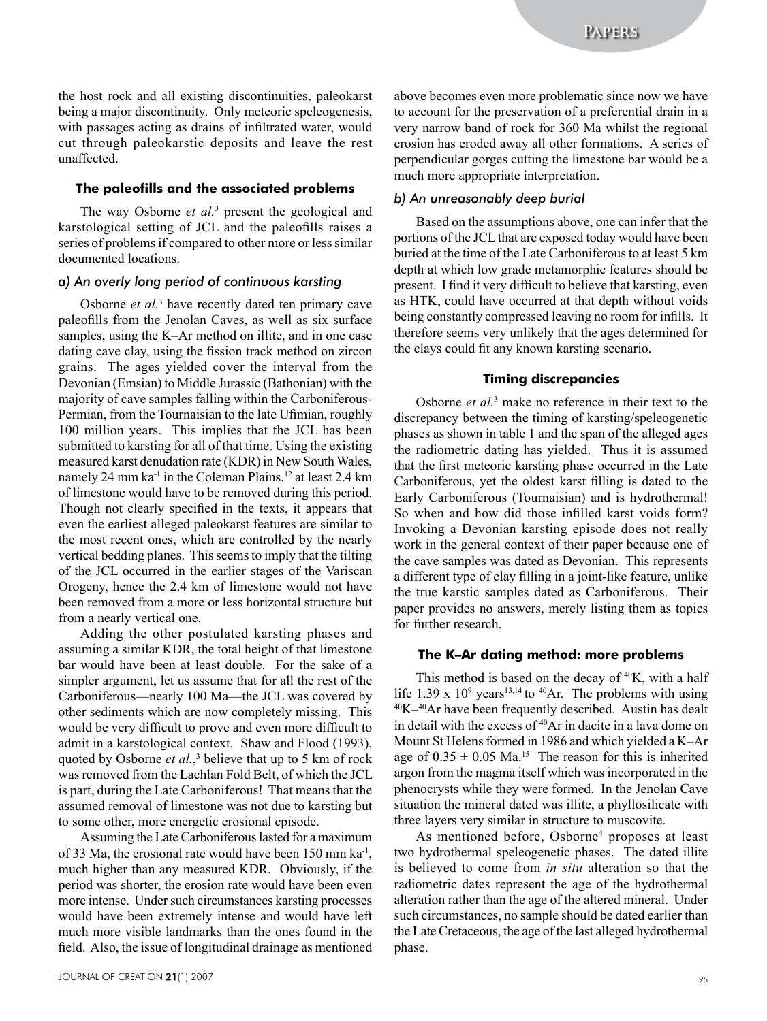the host rock and all existing discontinuities, paleokarst being a major discontinuity. Only meteoric speleogenesis, with passages acting as drains of infiltrated water, would cut through paleokarstic deposits and leave the rest unaffected.

## **The paleofills and the associated problems**

The way Osborne *et al.*<sup>3</sup> present the geological and karstological setting of JCL and the paleofills raises a series of problems if compared to other more or less similar documented locations.

#### *a) An overly long period of continuous karsting*

Osborne *et al.*<sup>3</sup> have recently dated ten primary cave paleofills from the Jenolan Caves, as well as six surface samples, using the K–Ar method on illite, and in one case dating cave clay, using the fission track method on zircon grains. The ages yielded cover the interval from the Devonian (Emsian) to Middle Jurassic (Bathonian) with the majority of cave samples falling within the Carboniferous-Permian, from the Tournaisian to the late Ufimian, roughly 100 million years. This implies that the JCL has been submitted to karsting for all of that time. Using the existing measured karst denudation rate (KDR) in New South Wales, namely 24 mm ka<sup>-1</sup> in the Coleman Plains,<sup>12</sup> at least 2.4 km of limestone would have to be removed during this period. Though not clearly specified in the texts, it appears that even the earliest alleged paleokarst features are similar to the most recent ones, which are controlled by the nearly vertical bedding planes. This seems to imply that the tilting of the JCL occurred in the earlier stages of the Variscan Orogeny, hence the 2.4 km of limestone would not have been removed from a more or less horizontal structure but from a nearly vertical one.

Adding the other postulated karsting phases and assuming a similar KDR, the total height of that limestone bar would have been at least double. For the sake of a simpler argument, let us assume that for all the rest of the Carboniferous—nearly 100 Ma—the JCL was covered by other sediments which are now completely missing. This would be very difficult to prove and even more difficult to admit in a karstological context. Shaw and Flood (1993), quoted by Osborne *et al.*,<sup>3</sup> believe that up to 5 km of rock was removed from the Lachlan Fold Belt, of which the JCL is part, during the Late Carboniferous! That means that the assumed removal of limestone was not due to karsting but to some other, more energetic erosional episode.

Assuming the Late Carboniferous lasted for a maximum of 33 Ma, the erosional rate would have been 150 mm ka-1, much higher than any measured KDR. Obviously, if the period was shorter, the erosion rate would have been even more intense. Under such circumstances karsting processes would have been extremely intense and would have left much more visible landmarks than the ones found in the field. Also, the issue of longitudinal drainage as mentioned above becomes even more problematic since now we have to account for the preservation of a preferential drain in a very narrow band of rock for 360 Ma whilst the regional erosion has eroded away all other formations. A series of perpendicular gorges cutting the limestone bar would be a much more appropriate interpretation.

#### *b) An unreasonably deep burial*

Based on the assumptions above, one can infer that the portions of the JCL that are exposed today would have been buried at the time of the Late Carboniferous to at least 5 km depth at which low grade metamorphic features should be present. I find it very difficult to believe that karsting, even as HTK, could have occurred at that depth without voids being constantly compressed leaving no room for infills. It therefore seems very unlikely that the ages determined for the clays could fit any known karsting scenario.

#### **Timing discrepancies**

Osborne *et al.*<sup>3</sup> make no reference in their text to the discrepancy between the timing of karsting/speleogenetic phases as shown in table 1 and the span of the alleged ages the radiometric dating has yielded. Thus it is assumed that the first meteoric karsting phase occurred in the Late Carboniferous, yet the oldest karst filling is dated to the Early Carboniferous (Tournaisian) and is hydrothermal! So when and how did those infilled karst voids form? Invoking a Devonian karsting episode does not really work in the general context of their paper because one of the cave samples was dated as Devonian. This represents a different type of clay filling in a joint-like feature, unlike the true karstic samples dated as Carboniferous. Their paper provides no answers, merely listing them as topics for further research.

#### **The K–Ar dating method: more problems**

This method is based on the decay of  $40K$ , with a half life  $1.39 \times 10^9$  years<sup>13,14</sup> to <sup>40</sup>Ar. The problems with using  $40K-40Ar$  have been frequently described. Austin has dealt in detail with the excess of <sup>40</sup>Ar in dacite in a lava dome on Mount St Helens formed in 1986 and which yielded a K–Ar age of  $0.35 \pm 0.05$  Ma.<sup>15</sup> The reason for this is inherited argon from the magma itself which was incorporated in the phenocrysts while they were formed. In the Jenolan Cave situation the mineral dated was illite, a phyllosilicate with three layers very similar in structure to muscovite.

As mentioned before, Osborne<sup>4</sup> proposes at least two hydrothermal speleogenetic phases. The dated illite is believed to come from *in situ* alteration so that the radiometric dates represent the age of the hydrothermal alteration rather than the age of the altered mineral. Under such circumstances, no sample should be dated earlier than the Late Cretaceous, the age of the last alleged hydrothermal phase.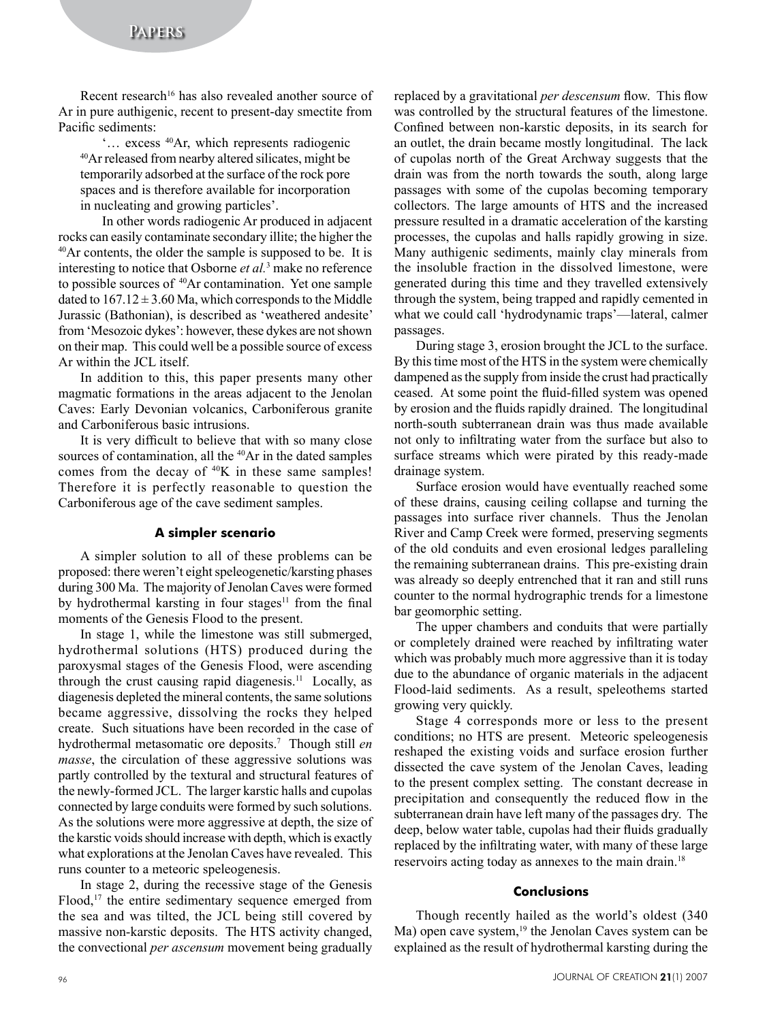Recent research<sup>16</sup> has also revealed another source of Ar in pure authigenic, recent to present-day smectite from Pacific sediments:

'… excess 40Ar, which represents radiogenic 40Ar released from nearby altered silicates, might be temporarily adsorbed at the surface of the rock pore spaces and is therefore available for incorporation in nucleating and growing particles'.

In other words radiogenic Ar produced in adjacent rocks can easily contaminate secondary illite; the higher the 40Ar contents, the older the sample is supposed to be. It is interesting to notice that Osborne *et al.*<sup>3</sup> make no reference to possible sources of <sup>40</sup>Ar contamination. Yet one sample dated to  $167.12 \pm 3.60$  Ma, which corresponds to the Middle Jurassic (Bathonian), is described as 'weathered andesite' from 'Mesozoic dykes': however, these dykes are not shown on their map. This could well be a possible source of excess Ar within the JCL itself.

In addition to this, this paper presents many other magmatic formations in the areas adjacent to the Jenolan Caves: Early Devonian volcanics, Carboniferous granite and Carboniferous basic intrusions.

It is very difficult to believe that with so many close sources of contamination, all the <sup>40</sup>Ar in the dated samples comes from the decay of 40K in these same samples! Therefore it is perfectly reasonable to question the Carboniferous age of the cave sediment samples.

#### **A simpler scenario**

A simpler solution to all of these problems can be proposed: there weren't eight speleogenetic/karsting phases during 300 Ma. The majority of Jenolan Caves were formed by hydrothermal karsting in four stages<sup>11</sup> from the final moments of the Genesis Flood to the present.

In stage 1, while the limestone was still submerged, hydrothermal solutions (HTS) produced during the paroxysmal stages of the Genesis Flood, were ascending through the crust causing rapid diagenesis.<sup>11</sup> Locally, as diagenesis depleted the mineral contents, the same solutions became aggressive, dissolving the rocks they helped create. Such situations have been recorded in the case of hydrothermal metasomatic ore deposits.7 Though still *en masse*, the circulation of these aggressive solutions was partly controlled by the textural and structural features of the newly-formed JCL. The larger karstic halls and cupolas connected by large conduits were formed by such solutions. As the solutions were more aggressive at depth, the size of the karstic voids should increase with depth, which is exactly what explorations at the Jenolan Caves have revealed. This runs counter to a meteoric speleogenesis.

In stage 2, during the recessive stage of the Genesis Flood,<sup>17</sup> the entire sedimentary sequence emerged from the sea and was tilted, the JCL being still covered by massive non-karstic deposits. The HTS activity changed, the convectional *per ascensum* movement being gradually replaced by a gravitational *per descensum* flow. This flow was controlled by the structural features of the limestone. Confined between non-karstic deposits, in its search for an outlet, the drain became mostly longitudinal. The lack of cupolas north of the Great Archway suggests that the drain was from the north towards the south, along large passages with some of the cupolas becoming temporary collectors. The large amounts of HTS and the increased pressure resulted in a dramatic acceleration of the karsting processes, the cupolas and halls rapidly growing in size. Many authigenic sediments, mainly clay minerals from the insoluble fraction in the dissolved limestone, were generated during this time and they travelled extensively through the system, being trapped and rapidly cemented in what we could call 'hydrodynamic traps'—lateral, calmer passages.

During stage 3, erosion brought the JCL to the surface. By this time most of the HTS in the system were chemically dampened as the supply from inside the crust had practically ceased. At some point the fluid-filled system was opened by erosion and the fluids rapidly drained. The longitudinal north-south subterranean drain was thus made available not only to infiltrating water from the surface but also to surface streams which were pirated by this ready-made drainage system.

Surface erosion would have eventually reached some of these drains, causing ceiling collapse and turning the passages into surface river channels. Thus the Jenolan River and Camp Creek were formed, preserving segments of the old conduits and even erosional ledges paralleling the remaining subterranean drains. This pre-existing drain was already so deeply entrenched that it ran and still runs counter to the normal hydrographic trends for a limestone bar geomorphic setting.

The upper chambers and conduits that were partially or completely drained were reached by infiltrating water which was probably much more aggressive than it is today due to the abundance of organic materials in the adjacent Flood-laid sediments. As a result, speleothems started growing very quickly.

Stage 4 corresponds more or less to the present conditions; no HTS are present. Meteoric speleogenesis reshaped the existing voids and surface erosion further dissected the cave system of the Jenolan Caves, leading to the present complex setting. The constant decrease in precipitation and consequently the reduced flow in the subterranean drain have left many of the passages dry. The deep, below water table, cupolas had their fluids gradually replaced by the infiltrating water, with many of these large reservoirs acting today as annexes to the main drain.18

### **Conclusions**

Though recently hailed as the world's oldest (340 Ma) open cave system,<sup>19</sup> the Jenolan Caves system can be explained as the result of hydrothermal karsting during the